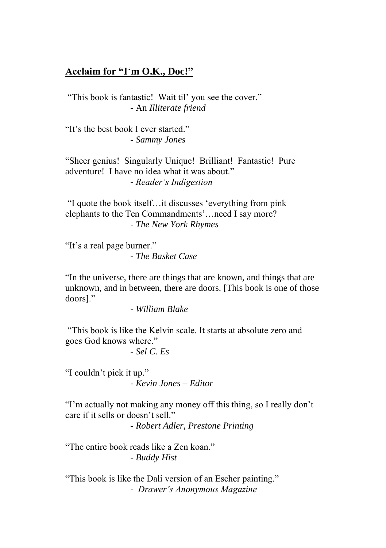#### **Acclaim for "I**'**m O.K., Doc!"**

"This book is fantastic! Wait til' you see the cover." - An *Illiterate friend*

"It's the best book I ever started." - *Sammy Jones*

"Sheer genius! Singularly Unique! Brilliant! Fantastic! Pure adventure! I have no idea what it was about." - *Reader's Indigestion*

"I quote the book itself…it discusses 'everything from pink elephants to the Ten Commandments'…need I say more? - *The New York Rhymes*

"It's a real page burner."

- *The Basket Case*

"In the universe, there are things that are known, and things that are unknown, and in between, there are doors. [This book is one of those doors]."

- *William Blake*

"This book is like the Kelvin scale. It starts at absolute zero and goes God knows where."

- *Sel C. Es*

"I couldn't pick it up." - *Kevin Jones – Editor*

"I'm actually not making any money off this thing, so I really don't care if it sells or doesn't sell."

- *Robert Adler, Prestone Printing*

"The entire book reads like a Zen koan." - *Buddy Hist*

"This book is like the Dali version of an Escher painting." - *Drawer's Anonymous Magazine*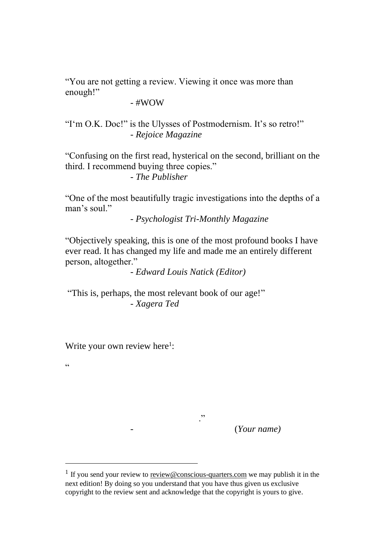"You are not getting a review. Viewing it once was more than enough!"

 $-$ #WOW

"I'm O.K. Doc!" is the Ulysses of Postmodernism. It's so retro!" *- Rejoice Magazine* 

"Confusing on the first read, hysterical on the second, brilliant on the third. I recommend buying three copies."

*- The Publisher* 

"One of the most beautifully tragic investigations into the depths of a man's soul."

- *Psychologist Tri-Monthly Magazine* 

"Objectively speaking, this is one of the most profound books I have ever read. It has changed my life and made me an entirely different person, altogether."

- *Edward Louis Natick (Editor)*

"This is, perhaps, the most relevant book of our age!" - *Xagera Ted*

Write your own review here<sup>1</sup>:

 $\overline{\phantom{a}}$ 

 $\epsilon$ 

- (*Your name)*

<sup>&</sup>lt;sup>1</sup> If you send your review to review@conscious-quarters.com we may publish it in the next edition! By doing so you understand that you have thus given us exclusive copyright to the review sent and acknowledge that the copyright is yours to give.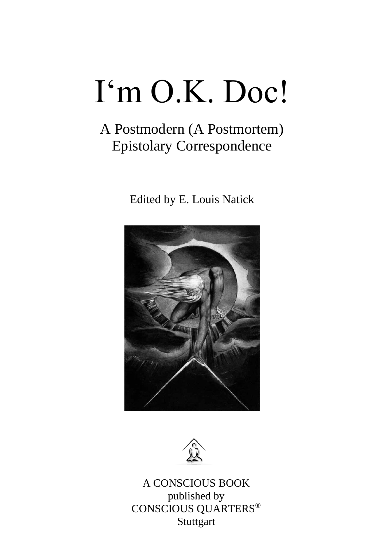# I'm O.K. Doc!

### A Postmodern (A Postmortem) Epistolary Correspondence

Edited by E. Louis Natick





A CONSCIOUS BOOK published by CONSCIOUS QUARTERS® **Stuttgart**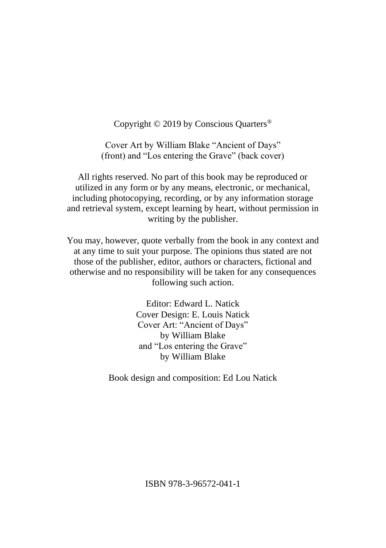Copyright © 2019 by Conscious Quarters®

Cover Art by William Blake "Ancient of Days" (front) and "Los entering the Grave" (back cover)

All rights reserved. No part of this book may be reproduced or utilized in any form or by any means, electronic, or mechanical, including photocopying, recording, or by any information storage and retrieval system, except learning by heart, without permission in writing by the publisher.

You may, however, quote verbally from the book in any context and at any time to suit your purpose. The opinions thus stated are not those of the publisher, editor, authors or characters, fictional and otherwise and no responsibility will be taken for any consequences following such action.

> Editor: Edward L. Natick Cover Design: E. Louis Natick Cover Art: "Ancient of Days" by William Blake and "Los entering the Grave" by William Blake

Book design and composition: Ed Lou Natick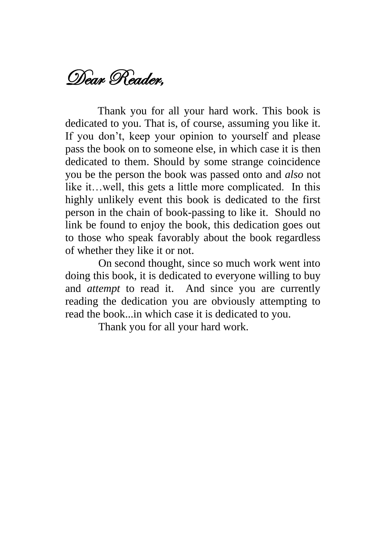### Dear Reader,

Thank you for all your hard work. This book is dedicated to you. That is, of course, assuming you like it. If you don't, keep your opinion to yourself and please pass the book on to someone else, in which case it is then dedicated to them. Should by some strange coincidence you be the person the book was passed onto and *also* not like it…well, this gets a little more complicated. In this highly unlikely event this book is dedicated to the first person in the chain of book-passing to like it. Should no link be found to enjoy the book, this dedication goes out to those who speak favorably about the book regardless of whether they like it or not.

On second thought, since so much work went into doing this book, it is dedicated to everyone willing to buy and *attempt* to read it. And since you are currently reading the dedication you are obviously attempting to read the book...in which case it is dedicated to you.

Thank you for all your hard work.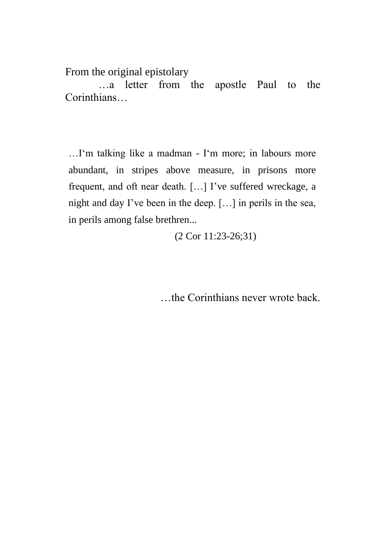From the original epistolary

…a letter from the apostle Paul to the Corinthians…

…I'm talking like a madman - I'm more; in labours more abundant, in stripes above measure, in prisons more frequent, and oft near death. […] I've suffered wreckage, a night and day I've been in the deep. […] in perils in the sea, in perils among false brethren...

(2 Cor 11:23-26;31)

…the Corinthians never wrote back.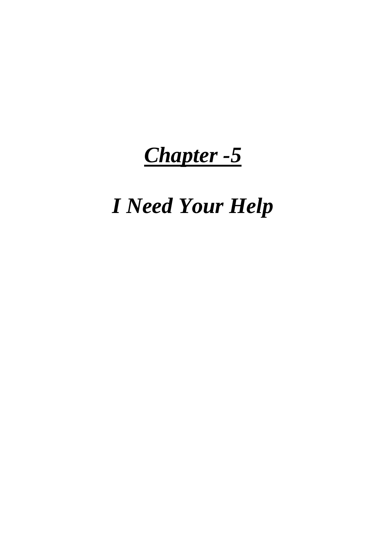### *Chapter -5*

## *I Need Your Help*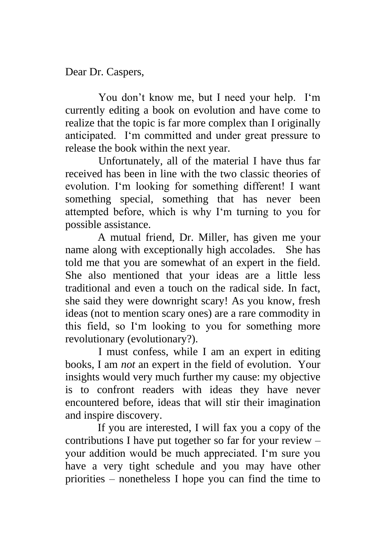Dear Dr. Caspers,

You don't know me, but I need your help. I'm currently editing a book on evolution and have come to realize that the topic is far more complex than I originally anticipated. I'm committed and under great pressure to release the book within the next year.

Unfortunately, all of the material I have thus far received has been in line with the two classic theories of evolution. I'm looking for something different! I want something special, something that has never been attempted before, which is why I'm turning to you for possible assistance.

A mutual friend, Dr. Miller, has given me your name along with exceptionally high accolades. She has told me that you are somewhat of an expert in the field. She also mentioned that your ideas are a little less traditional and even a touch on the radical side. In fact, she said they were downright scary! As you know, fresh ideas (not to mention scary ones) are a rare commodity in this field, so I'm looking to you for something more revolutionary (evolutionary?).

I must confess, while I am an expert in editing books, I am *not* an expert in the field of evolution. Your insights would very much further my cause: my objective is to confront readers with ideas they have never encountered before, ideas that will stir their imagination and inspire discovery.

If you are interested, I will fax you a copy of the contributions I have put together so far for your review – your addition would be much appreciated. I'm sure you have a very tight schedule and you may have other priorities – nonetheless I hope you can find the time to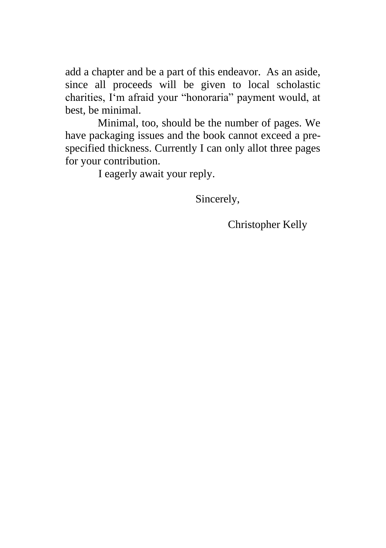add a chapter and be a part of this endeavor. As an aside, since all proceeds will be given to local scholastic charities, I'm afraid your "honoraria" payment would, at best, be minimal.

Minimal, too, should be the number of pages. We have packaging issues and the book cannot exceed a prespecified thickness. Currently I can only allot three pages for your contribution.

I eagerly await your reply.

Sincerely,

Christopher Kelly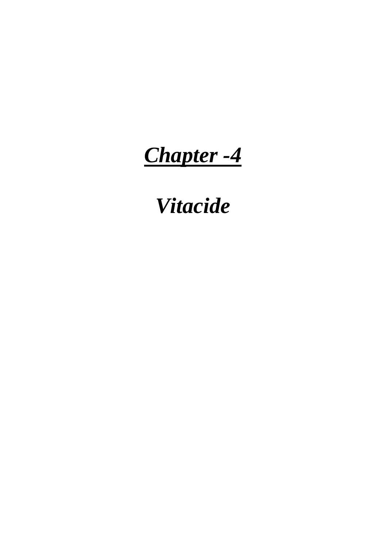*Chapter -4*

*Vitacide*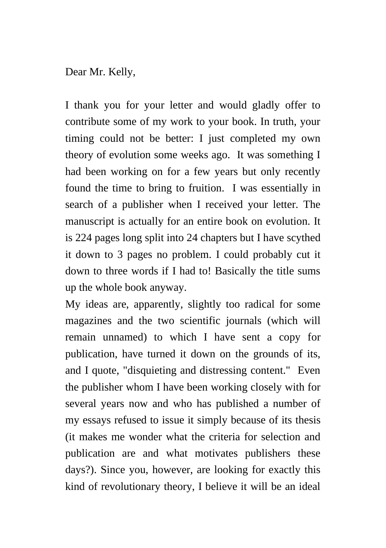Dear Mr. Kelly,

I thank you for your letter and would gladly offer to contribute some of my work to your book. In truth, your timing could not be better: I just completed my own theory of evolution some weeks ago. It was something I had been working on for a few years but only recently found the time to bring to fruition. I was essentially in search of a publisher when I received your letter. The manuscript is actually for an entire book on evolution. It is 224 pages long split into 24 chapters but I have scythed it down to 3 pages no problem. I could probably cut it down to three words if I had to! Basically the title sums up the whole book anyway.

My ideas are, apparently, slightly too radical for some magazines and the two scientific journals (which will remain unnamed) to which I have sent a copy for publication, have turned it down on the grounds of its, and I quote, "disquieting and distressing content." Even the publisher whom I have been working closely with for several years now and who has published a number of my essays refused to issue it simply because of its thesis (it makes me wonder what the criteria for selection and publication are and what motivates publishers these days?). Since you, however, are looking for exactly this kind of revolutionary theory, I believe it will be an ideal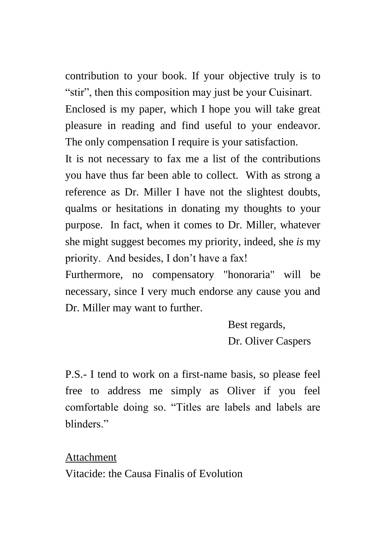contribution to your book. If your objective truly is to "stir", then this composition may just be your Cuisinart.

Enclosed is my paper, which I hope you will take great pleasure in reading and find useful to your endeavor. The only compensation I require is your satisfaction.

It is not necessary to fax me a list of the contributions you have thus far been able to collect. With as strong a reference as Dr. Miller I have not the slightest doubts, qualms or hesitations in donating my thoughts to your purpose. In fact, when it comes to Dr. Miller, whatever she might suggest becomes my priority, indeed, she *is* my priority. And besides, I don't have a fax!

Furthermore, no compensatory "honoraria" will be necessary, since I very much endorse any cause you and Dr. Miller may want to further.

> Best regards, Dr. Oliver Caspers

P.S.- I tend to work on a first-name basis, so please feel free to address me simply as Oliver if you feel comfortable doing so. "Titles are labels and labels are blinders."

Attachment Vitacide: the Causa Finalis of Evolution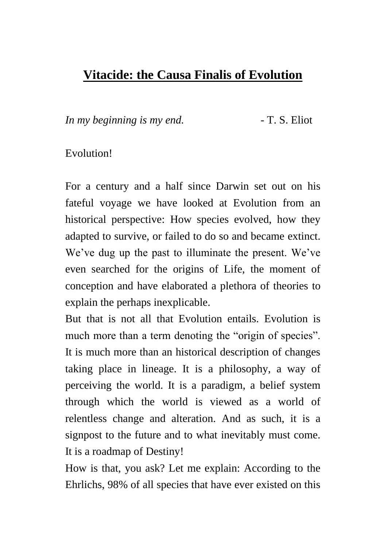#### **Vitacide: the Causa Finalis of Evolution**

*In my beginning is my end.* - T. S. Eliot

#### Evolution!

For a century and a half since Darwin set out on his fateful voyage we have looked at Evolution from an historical perspective: How species evolved, how they adapted to survive, or failed to do so and became extinct. We've dug up the past to illuminate the present. We've even searched for the origins of Life, the moment of conception and have elaborated a plethora of theories to explain the perhaps inexplicable.

But that is not all that Evolution entails. Evolution is much more than a term denoting the "origin of species". It is much more than an historical description of changes taking place in lineage. It is a philosophy, a way of perceiving the world. It is a paradigm, a belief system through which the world is viewed as a world of relentless change and alteration. And as such, it is a signpost to the future and to what inevitably must come. It is a roadmap of Destiny!

How is that, you ask? Let me explain: According to the Ehrlichs, 98% of all species that have ever existed on this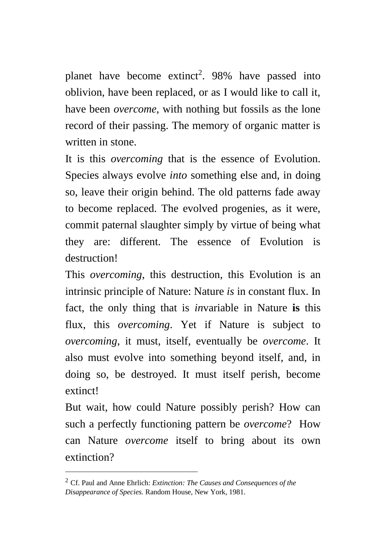planet have become extinct<sup>2</sup>. 98% have passed into oblivion, have been replaced, or as I would like to call it, have been *overcome*, with nothing but fossils as the lone record of their passing. The memory of organic matter is written in stone.

It is this *overcoming* that is the essence of Evolution. Species always evolve *into* something else and, in doing so, leave their origin behind. The old patterns fade away to become replaced. The evolved progenies, as it were, commit paternal slaughter simply by virtue of being what they are: different. The essence of Evolution is destruction!

This *overcoming*, this destruction, this Evolution is an intrinsic principle of Nature: Nature *is* in constant flux. In fact, the only thing that is *in*variable in Nature **is** this flux, this *overcoming*. Yet if Nature is subject to *overcoming*, it must, itself, eventually be *overcome*. It also must evolve into something beyond itself, and, in doing so, be destroyed. It must itself perish, become extinct!

But wait, how could Nature possibly perish? How can such a perfectly functioning pattern be *overcome*? How can Nature *overcome* itself to bring about its own extinction?

<sup>2</sup> Cf. Paul and Anne Ehrlich: *Extinction: The Causes and Consequences of the Disappearance of Species.* Random House, New York, 1981.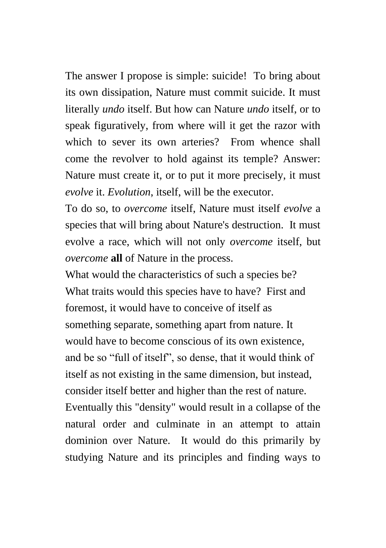The answer I propose is simple: suicide! To bring about its own dissipation, Nature must commit suicide. It must literally *undo* itself. But how can Nature *undo* itself, or to speak figuratively, from where will it get the razor with which to sever its own arteries? From whence shall come the revolver to hold against its temple? Answer: Nature must create it, or to put it more precisely, it must *evolve* it. *Evolution*, itself, will be the executor.

To do so, to *overcome* itself, Nature must itself *evolve* a species that will bring about Nature's destruction. It must evolve a race, which will not only *overcome* itself, but *overcome* **all** of Nature in the process.

What would the characteristics of such a species be? What traits would this species have to have? First and foremost, it would have to conceive of itself as something separate, something apart from nature. It would have to become conscious of its own existence, and be so "full of itself", so dense, that it would think of itself as not existing in the same dimension, but instead, consider itself better and higher than the rest of nature. Eventually this "density" would result in a collapse of the natural order and culminate in an attempt to attain dominion over Nature. It would do this primarily by studying Nature and its principles and finding ways to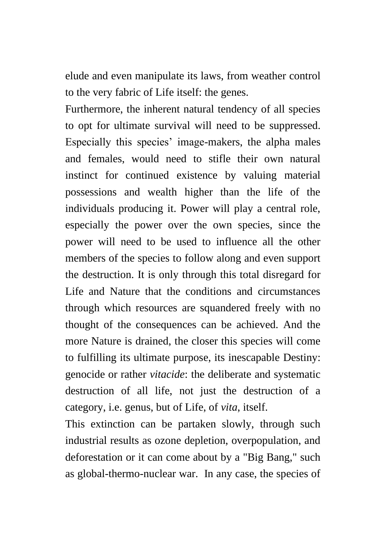elude and even manipulate its laws, from weather control to the very fabric of Life itself: the genes.

Furthermore, the inherent natural tendency of all species to opt for ultimate survival will need to be suppressed. Especially this species' image-makers, the alpha males and females, would need to stifle their own natural instinct for continued existence by valuing material possessions and wealth higher than the life of the individuals producing it. Power will play a central role, especially the power over the own species, since the power will need to be used to influence all the other members of the species to follow along and even support the destruction. It is only through this total disregard for Life and Nature that the conditions and circumstances through which resources are squandered freely with no thought of the consequences can be achieved. And the more Nature is drained, the closer this species will come to fulfilling its ultimate purpose, its inescapable Destiny: genocide or rather *vitacide*: the deliberate and systematic destruction of all life, not just the destruction of a category, i.e. genus, but of Life, of *vita*, itself.

This extinction can be partaken slowly, through such industrial results as ozone depletion, overpopulation, and deforestation or it can come about by a "Big Bang," such as global-thermo-nuclear war. In any case, the species of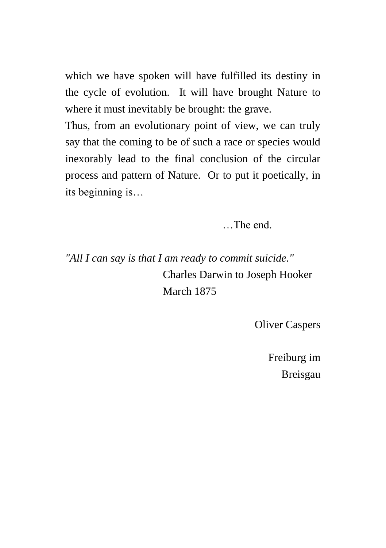which we have spoken will have fulfilled its destiny in the cycle of evolution. It will have brought Nature to where it must inevitably be brought: the grave.

Thus, from an evolutionary point of view, we can truly say that the coming to be of such a race or species would inexorably lead to the final conclusion of the circular process and pattern of Nature. Or to put it poetically, in its beginning is…

…The end.

*"All I can say is that I am ready to commit suicide."*  Charles Darwin to Joseph Hooker March 1875

Oliver Caspers

Freiburg im Breisgau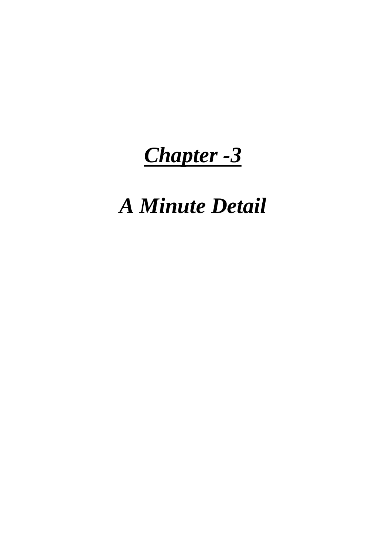### *Chapter -3*

## *A Minute Detail*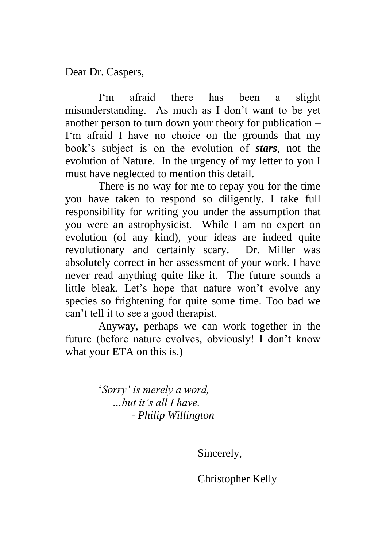Dear Dr. Caspers,

I'm afraid there has been a slight misunderstanding. As much as I don't want to be yet another person to turn down your theory for publication – I'm afraid I have no choice on the grounds that my book's subject is on the evolution of *stars*, not the evolution of Nature. In the urgency of my letter to you I must have neglected to mention this detail.

There is no way for me to repay you for the time you have taken to respond so diligently. I take full responsibility for writing you under the assumption that you were an astrophysicist. While I am no expert on evolution (of any kind), your ideas are indeed quite revolutionary and certainly scary. Dr. Miller was absolutely correct in her assessment of your work. I have never read anything quite like it. The future sounds a little bleak. Let's hope that nature won't evolve any species so frightening for quite some time. Too bad we can't tell it to see a good therapist.

Anyway, perhaps we can work together in the future (before nature evolves, obviously! I don't know what your ETA on this is.)

> '*Sorry' is merely a word, …but it's all I have. - Philip Willington*

> > Sincerely,

Christopher Kelly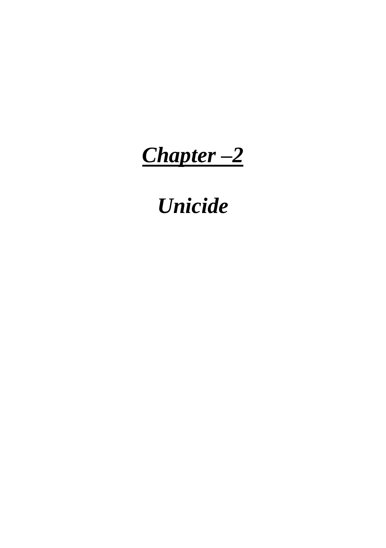*Chapter –2*

### *Unicide*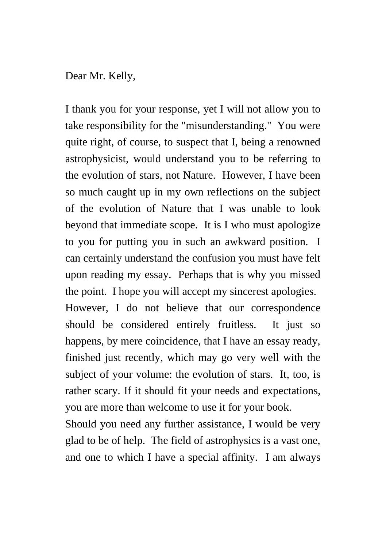Dear Mr. Kelly,

I thank you for your response, yet I will not allow you to take responsibility for the "misunderstanding." You were quite right, of course, to suspect that I, being a renowned astrophysicist, would understand you to be referring to the evolution of stars, not Nature. However, I have been so much caught up in my own reflections on the subject of the evolution of Nature that I was unable to look beyond that immediate scope. It is I who must apologize to you for putting you in such an awkward position. I can certainly understand the confusion you must have felt upon reading my essay. Perhaps that is why you missed the point. I hope you will accept my sincerest apologies. However, I do not believe that our correspondence should be considered entirely fruitless. It just so happens, by mere coincidence, that I have an essay ready, finished just recently, which may go very well with the subject of your volume: the evolution of stars. It, too, is rather scary. If it should fit your needs and expectations, you are more than welcome to use it for your book.

Should you need any further assistance, I would be very glad to be of help. The field of astrophysics is a vast one, and one to which I have a special affinity. I am always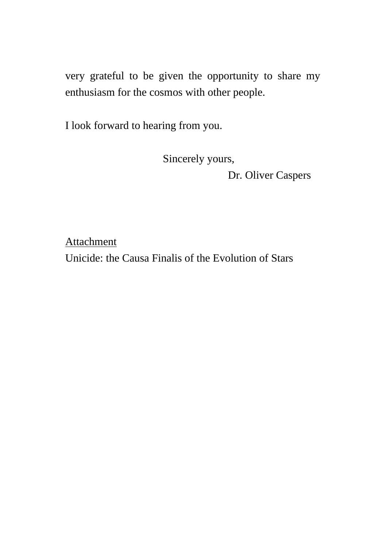very grateful to be given the opportunity to share my enthusiasm for the cosmos with other people.

I look forward to hearing from you.

Sincerely yours,

Dr. Oliver Caspers

Attachment Unicide: the Causa Finalis of the Evolution of Stars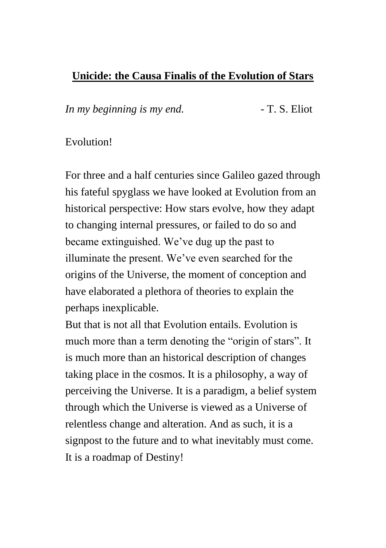#### **Unicide: the Causa Finalis of the Evolution of Stars**

*In my beginning is my end.* - T. S. Eliot

#### Evolution!

For three and a half centuries since Galileo gazed through his fateful spyglass we have looked at Evolution from an historical perspective: How stars evolve, how they adapt to changing internal pressures, or failed to do so and became extinguished. We've dug up the past to illuminate the present. We've even searched for the origins of the Universe, the moment of conception and have elaborated a plethora of theories to explain the perhaps inexplicable.

But that is not all that Evolution entails. Evolution is much more than a term denoting the "origin of stars". It is much more than an historical description of changes taking place in the cosmos. It is a philosophy, a way of perceiving the Universe. It is a paradigm, a belief system through which the Universe is viewed as a Universe of relentless change and alteration. And as such, it is a signpost to the future and to what inevitably must come. It is a roadmap of Destiny!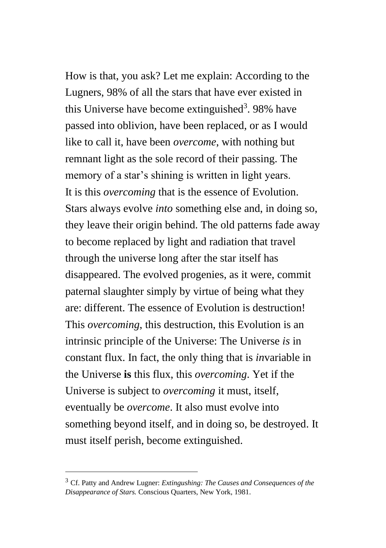How is that, you ask? Let me explain: According to the Lugners, 98% of all the stars that have ever existed in this Universe have become extinguished<sup>3</sup>. 98% have passed into oblivion, have been replaced, or as I would like to call it, have been *overcome*, with nothing but remnant light as the sole record of their passing. The memory of a star's shining is written in light years. It is this *overcoming* that is the essence of Evolution. Stars always evolve *into* something else and, in doing so, they leave their origin behind. The old patterns fade away to become replaced by light and radiation that travel through the universe long after the star itself has disappeared. The evolved progenies, as it were, commit paternal slaughter simply by virtue of being what they are: different. The essence of Evolution is destruction! This *overcoming*, this destruction, this Evolution is an intrinsic principle of the Universe: The Universe *is* in constant flux. In fact, the only thing that is *in*variable in the Universe **is** this flux, this *overcoming*. Yet if the Universe is subject to *overcoming* it must, itself, eventually be *overcome*. It also must evolve into something beyond itself, and in doing so, be destroyed. It must itself perish, become extinguished.

<sup>3</sup> Cf. Patty and Andrew Lugner: *Extingushing: The Causes and Consequences of the Disappearance of Stars.* Conscious Quarters, New York, 1981.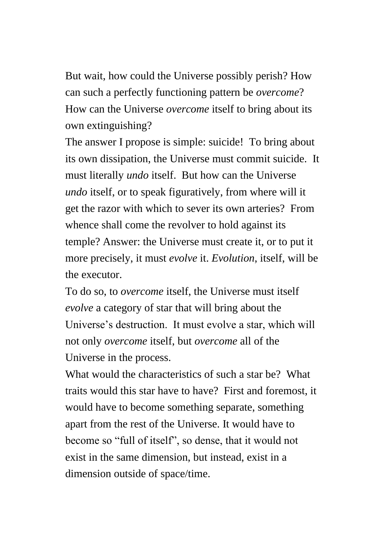But wait, how could the Universe possibly perish? How can such a perfectly functioning pattern be *overcome*? How can the Universe *overcome* itself to bring about its own extinguishing?

The answer I propose is simple: suicide! To bring about its own dissipation, the Universe must commit suicide. It must literally *undo* itself. But how can the Universe *undo* itself, or to speak figuratively, from where will it get the razor with which to sever its own arteries? From whence shall come the revolver to hold against its temple? Answer: the Universe must create it, or to put it more precisely, it must *evolve* it. *Evolution*, itself, will be the executor.

To do so, to *overcome* itself, the Universe must itself *evolve* a category of star that will bring about the Universe's destruction. It must evolve a star, which will not only *overcome* itself, but *overcome* all of the Universe in the process.

What would the characteristics of such a star be? What traits would this star have to have? First and foremost, it would have to become something separate, something apart from the rest of the Universe. It would have to become so "full of itself", so dense, that it would not exist in the same dimension, but instead, exist in a dimension outside of space/time.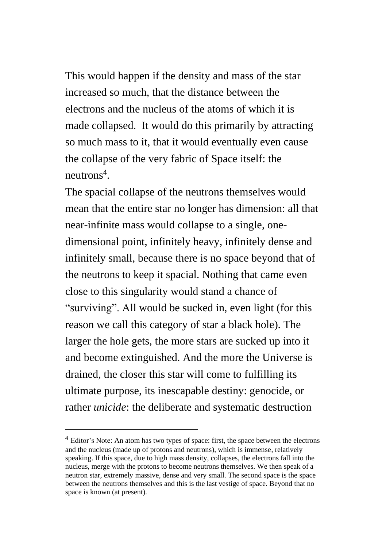This would happen if the density and mass of the star increased so much, that the distance between the electrons and the nucleus of the atoms of which it is made collapsed. It would do this primarily by attracting so much mass to it, that it would eventually even cause the collapse of the very fabric of Space itself: the neutrons<sup>4</sup>.

The spacial collapse of the neutrons themselves would mean that the entire star no longer has dimension: all that near-infinite mass would collapse to a single, onedimensional point, infinitely heavy, infinitely dense and infinitely small, because there is no space beyond that of the neutrons to keep it spacial. Nothing that came even close to this singularity would stand a chance of "surviving". All would be sucked in, even light (for this reason we call this category of star a black hole). The larger the hole gets, the more stars are sucked up into it and become extinguished. And the more the Universe is drained, the closer this star will come to fulfilling its ultimate purpose, its inescapable destiny: genocide, or rather *unicide*: the deliberate and systematic destruction

 $4$  Editor's Note: An atom has two types of space: first, the space between the electrons and the nucleus (made up of protons and neutrons), which is immense, relatively speaking. If this space, due to high mass density, collapses, the electrons fall into the nucleus, merge with the protons to become neutrons themselves. We then speak of a neutron star, extremely massive, dense and very small. The second space is the space between the neutrons themselves and this is the last vestige of space. Beyond that no space is known (at present).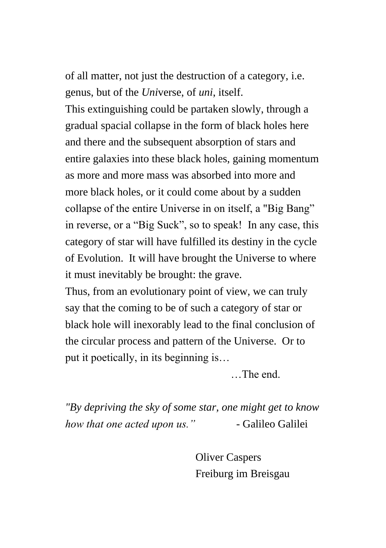of all matter, not just the destruction of a category, i.e. genus, but of the *Uni*verse, of *uni*, itself.

This extinguishing could be partaken slowly, through a gradual spacial collapse in the form of black holes here and there and the subsequent absorption of stars and entire galaxies into these black holes, gaining momentum as more and more mass was absorbed into more and more black holes, or it could come about by a sudden collapse of the entire Universe in on itself, a "Big Bang" in reverse, or a "Big Suck", so to speak! In any case, this category of star will have fulfilled its destiny in the cycle of Evolution. It will have brought the Universe to where it must inevitably be brought: the grave.

Thus, from an evolutionary point of view, we can truly say that the coming to be of such a category of star or black hole will inexorably lead to the final conclusion of the circular process and pattern of the Universe. Or to put it poetically, in its beginning is…

…The end.

*"By depriving the sky of some star, one might get to know how that one acted upon us.*" - Galileo Galilei

> Oliver Caspers Freiburg im Breisgau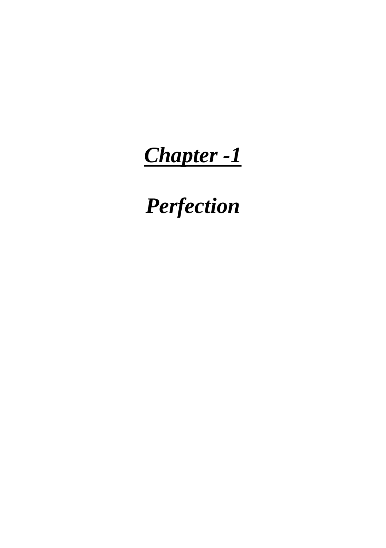# *Chapter -1*

*Perfection*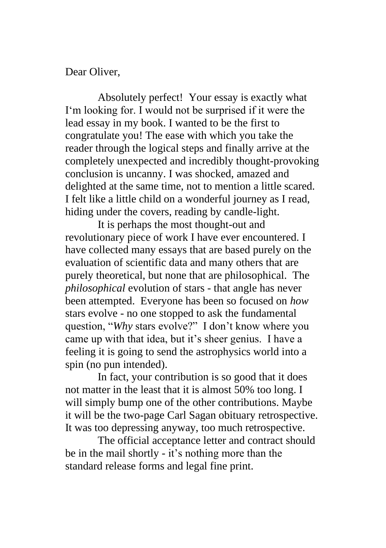Dear Oliver,

Absolutely perfect! Your essay is exactly what I'm looking for. I would not be surprised if it were the lead essay in my book. I wanted to be the first to congratulate you! The ease with which you take the reader through the logical steps and finally arrive at the completely unexpected and incredibly thought-provoking conclusion is uncanny. I was shocked, amazed and delighted at the same time, not to mention a little scared. I felt like a little child on a wonderful journey as I read, hiding under the covers, reading by candle-light.

It is perhaps the most thought-out and revolutionary piece of work I have ever encountered. I have collected many essays that are based purely on the evaluation of scientific data and many others that are purely theoretical, but none that are philosophical. The *philosophical* evolution of stars - that angle has never been attempted. Everyone has been so focused on *how* stars evolve - no one stopped to ask the fundamental question, "*Why* stars evolve?" I don't know where you came up with that idea, but it's sheer genius. I have a feeling it is going to send the astrophysics world into a spin (no pun intended).

In fact, your contribution is so good that it does not matter in the least that it is almost 50% too long. I will simply bump one of the other contributions. Maybe it will be the two-page Carl Sagan obituary retrospective. It was too depressing anyway, too much retrospective.

The official acceptance letter and contract should be in the mail shortly - it's nothing more than the standard release forms and legal fine print.